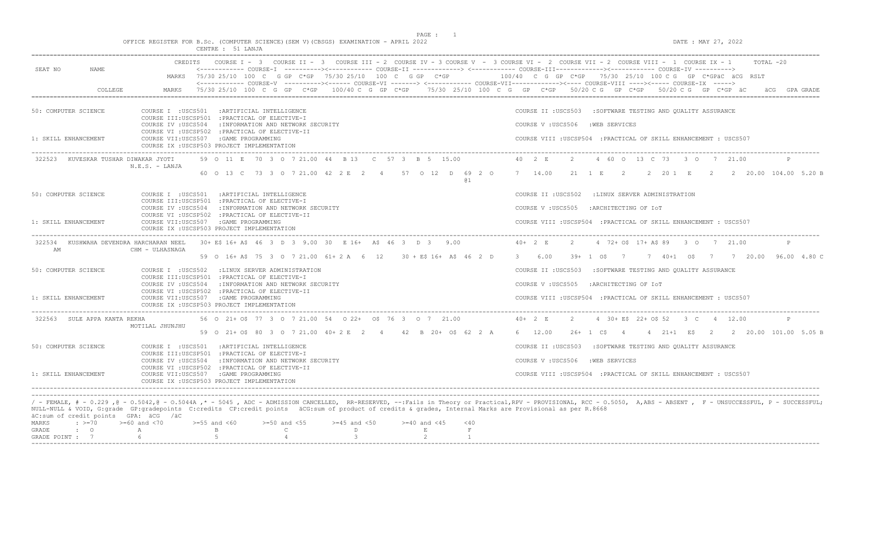PAGE : 1

 $DATE$ : MAY 27, 2022

|  |  |                   |  |  |  | OFFICE REGISTER FOR B.Sc. (COMPUTER SCIENCE)(SEM V)(CBSGS) EXAMINATION - APRIL 2022 |  |  |
|--|--|-------------------|--|--|--|-------------------------------------------------------------------------------------|--|--|
|  |  | CENTRE : 51 LANJA |  |  |  |                                                                                     |  |  |

|                                                                                                              | CREDITS COURSE I - 3 COURSE II - 3 COURSE III - 2 COURSE IV - 3 COURSE V - 3 COURSE VI - 2 COURSE VIII - 2 COURSE VIII - 1 COURSE IX - 1                                                                                                                                                                                                                                                                                                                                                                                                                                                                     | $TOTAI. -20$                                                        |  |  |  |  |  |  |
|--------------------------------------------------------------------------------------------------------------|--------------------------------------------------------------------------------------------------------------------------------------------------------------------------------------------------------------------------------------------------------------------------------------------------------------------------------------------------------------------------------------------------------------------------------------------------------------------------------------------------------------------------------------------------------------------------------------------------------------|---------------------------------------------------------------------|--|--|--|--|--|--|
| SEAT NO<br>NAME.                                                                                             | <------------ COURSE-I ----------><----------- COURSE-II -------------> <------------ COURSE-III-----------><------------ COURSE-IV ----------><br>MARKS 75/30 25/10 100 C G GP C*GP 75/30 25/10 100 C G GP C*GP 100/40 C G GP C*GP 75/30 25/10 100 C G GP C*GPäC äCG RSLT                                                                                                                                                                                                                                                                                                                                   |                                                                     |  |  |  |  |  |  |
| COLLEGE                                                                                                      | <------------ COURSE-V ----------><----- COURSE-VI -------> <----------- COURSE-VII------------><---- COURSE-VIII ----><----- COURSE-IX -----><br>75/30 25/10 100 C G GP C*GP 100/40 C G GP C*GP 75/30 25/10 100 C G GP C*GP 50/20 C G GP C*GP 50/20 C G GP C*GP äC<br>MARKS                                                                                                                                                                                                                                                                                                                                 | äCG GPA GRADE                                                       |  |  |  |  |  |  |
|                                                                                                              |                                                                                                                                                                                                                                                                                                                                                                                                                                                                                                                                                                                                              |                                                                     |  |  |  |  |  |  |
| 50: COMPUTER SCIENCE                                                                                         | COURSE I : USCS501 : ARTIFICIAL INTELLIGENCE<br>COURSE III:USCSP501 : PRACTICAL OF ELECTIVE-I                                                                                                                                                                                                                                                                                                                                                                                                                                                                                                                | COURSE II : USCS503 : SOFTWARE TESTING AND QUALITY ASSURANCE        |  |  |  |  |  |  |
|                                                                                                              | COURSE IV : USCS504<br>: INFORMATION AND NETWORK SECURITY                                                                                                                                                                                                                                                                                                                                                                                                                                                                                                                                                    | COURSE V: USCS506 : WEB SERVICES                                    |  |  |  |  |  |  |
| 1: SKILL ENHANCEMENT                                                                                         | COURSE VI : USCSP502 : PRACTICAL OF ELECTIVE-II<br>COURSE VII:USCS507 :GAME PROGRAMMING<br>COURSE IX : USCSP503 PROJECT IMPLEMENTATION                                                                                                                                                                                                                                                                                                                                                                                                                                                                       | COURSE VIII : USCSP504 : PRACTICAL OF SKILL ENHANCEMENT : USCS507   |  |  |  |  |  |  |
| 322523<br>KUVESKAR TUSHAR DIWAKAR JYOTI                                                                      | 59 O 11 E 70 3 O 7 21.00 44 B 13 C 57 3 B 5 15.00<br>N.E.S. - LANJA                                                                                                                                                                                                                                                                                                                                                                                                                                                                                                                                          | 40 2 E<br>4 60 0 13 C 73 3 0 7 21.00<br>2                           |  |  |  |  |  |  |
|                                                                                                              | 60 0 13 C 73 3 0 7 21.00 42 2 E 2 4 57 0 12 D 69 2 0 7 14.00<br><b>a</b> 1                                                                                                                                                                                                                                                                                                                                                                                                                                                                                                                                   | 21 1 E 2 2 20 1 E 2 2 20.00 104.00 5.20 B                           |  |  |  |  |  |  |
| 50: COMPUTER SCIENCE                                                                                         | COURSE I : USCS501 : ARTIFICIAL INTELLIGENCE<br>COURSE III:USCSP501 : PRACTICAL OF ELECTIVE-I                                                                                                                                                                                                                                                                                                                                                                                                                                                                                                                | COURSE II : USCS502 : LINUX SERVER ADMINISTRATION                   |  |  |  |  |  |  |
|                                                                                                              | COURSE IV : USCS504 : INFORMATION AND NETWORK SECURITY                                                                                                                                                                                                                                                                                                                                                                                                                                                                                                                                                       | COURSE V: USCS505<br>:ARCHITECTING OF IOT                           |  |  |  |  |  |  |
| 1: SKILL ENHANCEMENT                                                                                         | COURSE VI : USCSP502 : PRACTICAL OF ELECTIVE-II<br>COURSE VII:USCS507 :GAME PROGRAMMING<br>COURSE IX : USCSP503 PROJECT IMPLEMENTATION                                                                                                                                                                                                                                                                                                                                                                                                                                                                       | COURSE VIII : USCSP504 : PRACTICAL OF SKILL ENHANCEMENT : USCS507   |  |  |  |  |  |  |
| 322534 KUSHWAHA DEVENDRA HARCHARAN NEEL                                                                      | 30+ E\$ 16+ A\$ 46 3 D 3 9.00 30 E 16+ A\$ 46 3 D 3 9.00                                                                                                                                                                                                                                                                                                                                                                                                                                                                                                                                                     | $40+2 E$<br>4 72+ 0\$ 17+ A\$ 89 3 0 7 21.00<br>$2^{1}$             |  |  |  |  |  |  |
| AM                                                                                                           | CHM - ULHASNAGA<br>59 0 16+ A\$ 75 3 0 7 21.00 61+ 2 A 6 12 30 + E\$ 16+ A\$ 46 2 D                                                                                                                                                                                                                                                                                                                                                                                                                                                                                                                          | 36.00<br>39+ 1 0\$ 7 7 40+1 0\$ 7 7 20.00 96.00 4.80 C              |  |  |  |  |  |  |
| 50: COMPUTER SCIENCE                                                                                         | COURSE I : USCS502 : LINUX SERVER ADMINISTRATION                                                                                                                                                                                                                                                                                                                                                                                                                                                                                                                                                             | COURSE II : USCS503<br>:SOFTWARE TESTING AND QUALITY ASSURANCE      |  |  |  |  |  |  |
|                                                                                                              | COURSE III:USCSP501 : PRACTICAL OF ELECTIVE-I<br>COURSE IV : USCS504<br>: INFORMATION AND NETWORK SECURITY<br>COURSE VI : USCSP502 : PRACTICAL OF ELECTIVE-II                                                                                                                                                                                                                                                                                                                                                                                                                                                | COURSE V: USCS505<br>:ARCHITECTING OF IOT                           |  |  |  |  |  |  |
| 1: SKILL ENHANCEMENT                                                                                         | COURSE VII:USCS507 :GAME PROGRAMMING<br>COURSE IX : USCSP503 PROJECT IMPLEMENTATION                                                                                                                                                                                                                                                                                                                                                                                                                                                                                                                          | COURSE VIII : USCSP504 : PRACTICAL OF SKILL ENHANCEMENT : USCS507   |  |  |  |  |  |  |
| 322563 SULE APPA KANTA REKHA                                                                                 | 56 0 21+ 0\$ 77 3 0 7 21.00 54 0 22+ 0\$ 76 3 0 7 21.00                                                                                                                                                                                                                                                                                                                                                                                                                                                                                                                                                      | $40+2 E$<br>4 30 + E\$ 22 + 0\$ 52 3 C 4 12.00<br>$\mathbb{P}$<br>2 |  |  |  |  |  |  |
|                                                                                                              | MOTILAL JHUNJHU<br>59 0 21+ 0\$ 80 3 0 7 21.00 40+ 2 E 2 4 42 B 20+ 0\$ 62 2 A                                                                                                                                                                                                                                                                                                                                                                                                                                                                                                                               | 26+ 1 C\$ 4 4 21+1 E\$ 2 2 20.00 101.00 5.05 B<br>6 12.00           |  |  |  |  |  |  |
| 50: COMPUTER SCIENCE                                                                                         | COURSE I : USCS501 : ARTIFICIAL INTELLIGENCE<br>COURSE III:USCSP501 : PRACTICAL OF ELECTIVE-I                                                                                                                                                                                                                                                                                                                                                                                                                                                                                                                | COURSE II : USCS503<br>:SOFTWARE TESTING AND QUALITY ASSURANCE      |  |  |  |  |  |  |
|                                                                                                              | COURSE IV : USCS504 : INFORMATION AND NETWORK SECURITY                                                                                                                                                                                                                                                                                                                                                                                                                                                                                                                                                       | COURSE V: USCS506 : WEB SERVICES                                    |  |  |  |  |  |  |
| 1: SKILL ENHANCEMENT                                                                                         | COURSE VI : USCSP502 : PRACTICAL OF ELECTIVE-II<br>COURSE VII:USCS507 :GAME PROGRAMMING                                                                                                                                                                                                                                                                                                                                                                                                                                                                                                                      | COURSE VIII : USCSP504 : PRACTICAL OF SKILL ENHANCEMENT : USCS507   |  |  |  |  |  |  |
|                                                                                                              | COURSE IX : USCSP503 PROJECT IMPLEMENTATION                                                                                                                                                                                                                                                                                                                                                                                                                                                                                                                                                                  |                                                                     |  |  |  |  |  |  |
| äC:sum of credit points GPA: äCG /äC<br><b>MARKS</b><br>$\div$ >=70<br>GRADE<br>$\cdot$ 0<br>GRADE POINT : 7 | / - FEMALE, # - 0.229 ,0 - 0.5042,0 - 0.5044A ,* - 5045 , ADC - ADMISSION CANCELLED, RR-RESERVED, --: Fails in Theory or Practical, RPV - PROVISIONAL, RCC - 0.5050, A, ABS - ABSENT , F - UNSUCCESSFUL, P - SUCCESSFUL;<br>NULL-NULL & VOID, G:grade GP:gradepoints C:credits CP:credit points äCG:sum of product of credits & grades, Internal Marks are Provisional as per R.8668<br>$>=60$ and $<70$<br>$>=55$ and $<60$<br>$>=50$ and $<55$<br>$>=45$ and $<50$<br>$>=40$ and $<45$<br>$<$ 40<br>$\mathbf{B}$<br>$\;$ F<br>$\mathbb{C}$<br>D<br>E<br>A<br>$5 -$<br>$\mathcal{E}$<br>6<br>$\overline{4}$ |                                                                     |  |  |  |  |  |  |

-----------------------------------------------------------------------------------------------------------------------------------------------------------------------------------------------------------------------